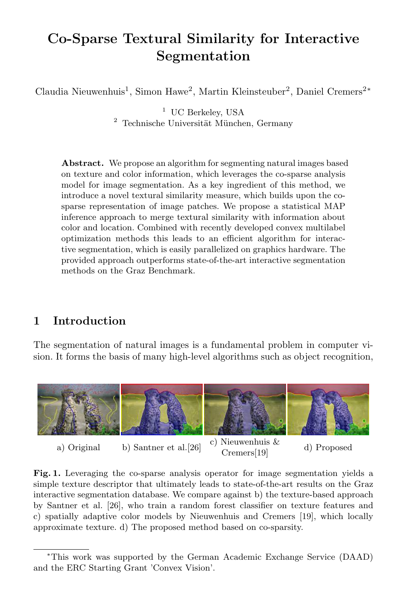# Co-Sparse Textural Similarity for Interactive Segmentation

Claudia Nieuwenhuis<sup>1</sup>, Simon Hawe<sup>2</sup>, Martin Kleinsteuber<sup>2</sup>, Daniel Cremers<sup>2\*</sup>

<sup>1</sup> UC Berkeley, USA  $2$  Technische Universität München, Germany

Abstract. We propose an algorithm for segmenting natural images based on texture and color information, which leverages the co-sparse analysis model for image segmentation. As a key ingredient of this method, we introduce a novel textural similarity measure, which builds upon the cosparse representation of image patches. We propose a statistical MAP inference approach to merge textural similarity with information about color and location. Combined with recently developed convex multilabel optimization methods this leads to an efficient algorithm for interactive segmentation, which is easily parallelized on graphics hardware. The provided approach outperforms state-of-the-art interactive segmentation methods on the Graz Benchmark.

# 1 Introduction

The segmentation of natural images is a fundamental problem in computer vision. It forms the basis of many high-level algorithms such as object recognition,



a) Original b) Santner et al. [26] c) Nieuwenhuis &

Cremers[19] d) Proposed

Fig. 1. Leveraging the co-sparse analysis operator for image segmentation yields a simple texture descriptor that ultimately leads to state-of-the-art results on the Graz interactive segmentation database. We compare against b) the texture-based approach by Santner et al. [26], who train a random forest classifier on texture features and c) spatially adaptive color models by Nieuwenhuis and Cremers [19], which locally approximate texture. d) The proposed method based on co-sparsity.

<sup>∗</sup>This work was supported by the German Academic Exchange Service (DAAD) and the ERC Starting Grant 'Convex Vision'.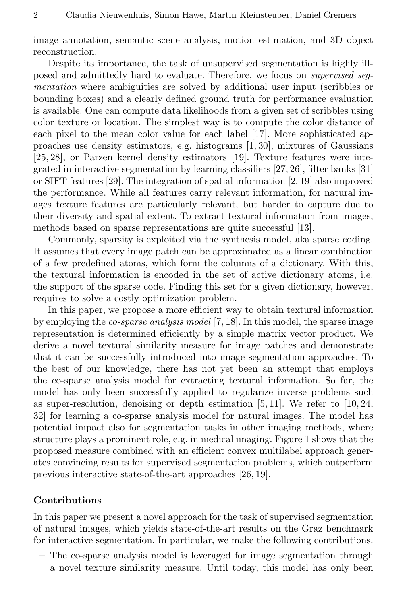image annotation, semantic scene analysis, motion estimation, and 3D object reconstruction.

Despite its importance, the task of unsupervised segmentation is highly illposed and admittedly hard to evaluate. Therefore, we focus on supervised segmentation where ambiguities are solved by additional user input (scribbles or bounding boxes) and a clearly defined ground truth for performance evaluation is available. One can compute data likelihoods from a given set of scribbles using color texture or location. The simplest way is to compute the color distance of each pixel to the mean color value for each label [17]. More sophisticated approaches use density estimators, e.g. histograms [1, 30], mixtures of Gaussians [25, 28], or Parzen kernel density estimators [19]. Texture features were integrated in interactive segmentation by learning classifiers [27, 26], filter banks [31] or SIFT features [29]. The integration of spatial information [2, 19] also improved the performance. While all features carry relevant information, for natural images texture features are particularly relevant, but harder to capture due to their diversity and spatial extent. To extract textural information from images, methods based on sparse representations are quite successful [13].

Commonly, sparsity is exploited via the synthesis model, aka sparse coding. It assumes that every image patch can be approximated as a linear combination of a few predefined atoms, which form the columns of a dictionary. With this, the textural information is encoded in the set of active dictionary atoms, i.e. the support of the sparse code. Finding this set for a given dictionary, however, requires to solve a costly optimization problem.

In this paper, we propose a more efficient way to obtain textural information by employing the *co-sparse analysis model* [7, 18]. In this model, the sparse image representation is determined efficiently by a simple matrix vector product. We derive a novel textural similarity measure for image patches and demonstrate that it can be successfully introduced into image segmentation approaches. To the best of our knowledge, there has not yet been an attempt that employs the co-sparse analysis model for extracting textural information. So far, the model has only been successfully applied to regularize inverse problems such as super-resolution, denoising or depth estimation  $[5, 11]$ . We refer to  $[10, 24]$ , 32] for learning a co-sparse analysis model for natural images. The model has potential impact also for segmentation tasks in other imaging methods, where structure plays a prominent role, e.g. in medical imaging. Figure 1 shows that the proposed measure combined with an efficient convex multilabel approach generates convincing results for supervised segmentation problems, which outperform previous interactive state-of-the-art approaches [26, 19].

#### Contributions

In this paper we present a novel approach for the task of supervised segmentation of natural images, which yields state-of-the-art results on the Graz benchmark for interactive segmentation. In particular, we make the following contributions.

– The co-sparse analysis model is leveraged for image segmentation through a novel texture similarity measure. Until today, this model has only been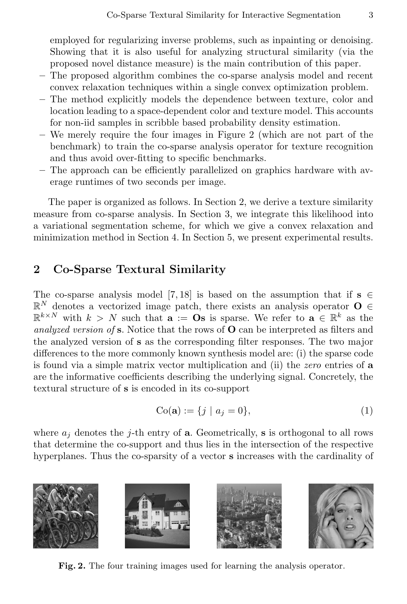employed for regularizing inverse problems, such as inpainting or denoising. Showing that it is also useful for analyzing structural similarity (via the proposed novel distance measure) is the main contribution of this paper.

- The proposed algorithm combines the co-sparse analysis model and recent convex relaxation techniques within a single convex optimization problem.
- The method explicitly models the dependence between texture, color and location leading to a space-dependent color and texture model. This accounts for non-iid samples in scribble based probability density estimation.
- We merely require the four images in Figure 2 (which are not part of the benchmark) to train the co-sparse analysis operator for texture recognition and thus avoid over-fitting to specific benchmarks.
- The approach can be efficiently parallelized on graphics hardware with average runtimes of two seconds per image.

The paper is organized as follows. In Section 2, we derive a texture similarity measure from co-sparse analysis. In Section 3, we integrate this likelihood into a variational segmentation scheme, for which we give a convex relaxation and minimization method in Section 4. In Section 5, we present experimental results.

# 2 Co-Sparse Textural Similarity

The co-sparse analysis model [7, 18] is based on the assumption that if  $s \in \mathbb{R}$  $\mathbb{R}^N$  denotes a vectorized image patch, there exists an analysis operator  $O \in$  $\mathbb{R}^{k\times N}$  with  $k>N$  such that  $\mathbf{a} := \mathbf{O}\mathbf{s}$  is sparse. We refer to  $\mathbf{a} \in \mathbb{R}^k$  as the analyzed version of  $s$ . Notice that the rows of  $O$  can be interpreted as filters and the analyzed version of s as the corresponding filter responses. The two major differences to the more commonly known synthesis model are: (i) the sparse code is found via a simple matrix vector multiplication and (ii) the zero entries of a are the informative coefficients describing the underlying signal. Concretely, the textural structure of s is encoded in its co-support

$$
Co(a) := \{j \mid a_j = 0\},
$$
 (1)

where  $a_i$  denotes the j-th entry of **a**. Geometrically, **s** is orthogonal to all rows that determine the co-support and thus lies in the intersection of the respective hyperplanes. Thus the co-sparsity of a vector s increases with the cardinality of



Fig. 2. The four training images used for learning the analysis operator.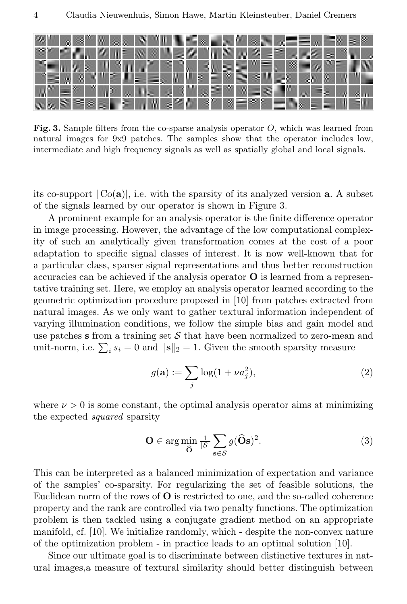

Fig. 3. Sample filters from the co-sparse analysis operator  $O$ , which was learned from natural images for 9x9 patches. The samples show that the operator includes low, intermediate and high frequency signals as well as spatially global and local signals.

its co-support  $|Co(a)|$ , i.e. with the sparsity of its analyzed version **a**. A subset of the signals learned by our operator is shown in Figure 3.

A prominent example for an analysis operator is the finite difference operator in image processing. However, the advantage of the low computational complexity of such an analytically given transformation comes at the cost of a poor adaptation to specific signal classes of interest. It is now well-known that for a particular class, sparser signal representations and thus better reconstruction accuracies can be achieved if the analysis operator  $O$  is learned from a representative training set. Here, we employ an analysis operator learned according to the geometric optimization procedure proposed in [10] from patches extracted from natural images. As we only want to gather textural information independent of varying illumination conditions, we follow the simple bias and gain model and use patches s from a training set  $\mathcal S$  that have been normalized to zero-mean and unit-norm, i.e.  $\sum_i s_i = 0$  and  $\|\mathbf{s}\|_2 = 1$ . Given the smooth sparsity measure

$$
g(\mathbf{a}) := \sum_{j} \log(1 + \nu a_j^2),\tag{2}
$$

where  $\nu > 0$  is some constant, the optimal analysis operator aims at minimizing the expected squared sparsity

$$
\mathbf{O} \in \arg\min_{\widehat{\mathbf{O}}} \frac{1}{|\mathcal{S}|} \sum_{\mathbf{s} \in \mathcal{S}} g(\widehat{\mathbf{O}}\mathbf{s})^2. \tag{3}
$$

This can be interpreted as a balanced minimization of expectation and variance of the samples' co-sparsity. For regularizing the set of feasible solutions, the Euclidean norm of the rows of O is restricted to one, and the so-called coherence property and the rank are controlled via two penalty functions. The optimization problem is then tackled using a conjugate gradient method on an appropriate manifold, cf. [10]. We initialize randomly, which - despite the non-convex nature of the optimization problem - in practice leads to an optimal solution [10].

Since our ultimate goal is to discriminate between distinctive textures in natural images,a measure of textural similarity should better distinguish between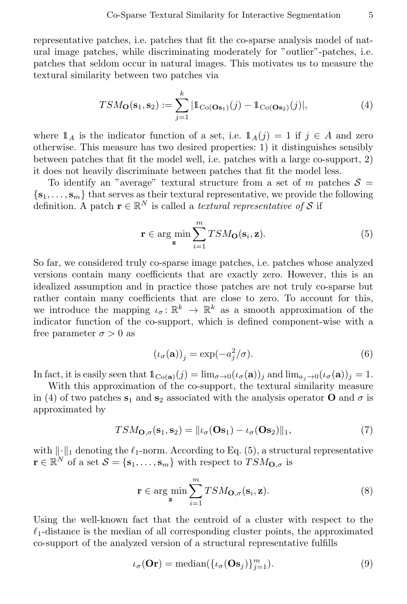representative patches, i.e. patches that fit the co-sparse analysis model of natural image patches, while discriminating moderately for "outlier"-patches, i.e. patches that seldom occur in natural images. This motivates us to measure the textural similarity between two patches via

$$
TSM_{\mathbf{O}}(\mathbf{s}_1, \mathbf{s}_2) := \sum_{j=1}^k |\mathbb{1}_{\text{Co}(\mathbf{O}\mathbf{s}_1)}(j) - \mathbb{1}_{\text{Co}(\mathbf{O}\mathbf{s}_2)}(j)|,\tag{4}
$$

where  $\mathbb{1}_A$  is the indicator function of a set, i.e.  $\mathbb{1}_A(j) = 1$  if  $j \in A$  and zero otherwise. This measure has two desired properties: 1) it distinguishes sensibly between patches that fit the model well, i.e. patches with a large co-support, 2) it does not heavily discriminate between patches that fit the model less.

To identify an "average" textural structure from a set of m patches  $S =$  ${s_1, \ldots, s_m}$  that serves as their textural representative, we provide the following definition. A patch  $\mathbf{r} \in \mathbb{R}^N$  is called a *textural representative of* S if

$$
\mathbf{r} \in \arg\min_{\mathbf{z}} \sum_{i=1}^{m} TSM_{\mathbf{O}}(\mathbf{s}_{i}, \mathbf{z}).
$$
 (5)

So far, we considered truly co-sparse image patches, i.e. patches whose analyzed versions contain many coefficients that are exactly zero. However, this is an idealized assumption and in practice those patches are not truly co-sparse but rather contain many coefficients that are close to zero. To account for this, we introduce the mapping  $\iota_{\sigma} \colon \mathbb{R}^k \to \mathbb{R}^k$  as a smooth approximation of the indicator function of the co-support, which is defined component-wise with a free parameter  $\sigma > 0$  as

$$
(\iota_{\sigma}(\mathbf{a}))_j = \exp(-a_j^2/\sigma). \tag{6}
$$

In fact, it is easily seen that  $\mathbb{1}_{C_0(\mathbf{a})}(j) = \lim_{\sigma \to 0} (\iota_{\sigma}(\mathbf{a}))_j$  and  $\lim_{a \to 0} (\iota_{\sigma}(\mathbf{a}))_j = 1$ .

With this approximation of the co-support, the textural similarity measure in (4) of two patches  $s_1$  and  $s_2$  associated with the analysis operator **O** and  $\sigma$  is approximated by

$$
TSM_{\mathbf{O},\sigma}(\mathbf{s}_1,\mathbf{s}_2) = ||\iota_{\sigma}(\mathbf{O}\mathbf{s}_1) - \iota_{\sigma}(\mathbf{O}\mathbf{s}_2)||_1,
$$
\n(7)

with  $\|\cdot\|_1$  denoting the  $\ell_1$ -norm. According to Eq. (5), a structural representative  $\mathbf{r} \in \mathbb{R}^N$  of a set  $\mathcal{S} = \{\mathbf{s}_1, \dots, \mathbf{s}_m\}$  with respect to  $TSM_{\mathbf{O},\sigma}$  is

$$
\mathbf{r} \in \arg\min_{\mathbf{z}} \sum_{i=1}^{m} TSM_{\mathbf{O},\sigma}(\mathbf{s}_i, \mathbf{z}).
$$
 (8)

Using the well-known fact that the centroid of a cluster with respect to the  $\ell_1$ -distance is the median of all corresponding cluster points, the approximated co-support of the analyzed version of a structural representative fulfills

$$
\iota_{\sigma}(\mathbf{Or}) = \text{median}(\{\iota_{\sigma}(\mathbf{Os}_j)\}_{j=1}^m). \tag{9}
$$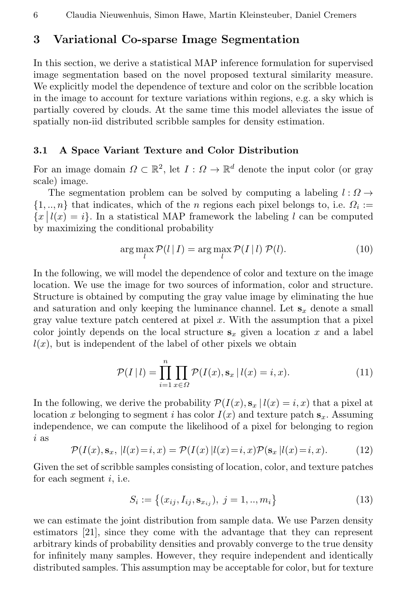# 3 Variational Co-sparse Image Segmentation

In this section, we derive a statistical MAP inference formulation for supervised image segmentation based on the novel proposed textural similarity measure. We explicitly model the dependence of texture and color on the scribble location in the image to account for texture variations within regions, e.g. a sky which is partially covered by clouds. At the same time this model alleviates the issue of spatially non-iid distributed scribble samples for density estimation.

#### 3.1 A Space Variant Texture and Color Distribution

For an image domain  $\Omega \subset \mathbb{R}^2$ , let  $I: \Omega \to \mathbb{R}^d$  denote the input color (or gray scale) image.

The segmentation problem can be solved by computing a labeling  $l : \Omega \rightarrow$  $\{1, ..., n\}$  that indicates, which of the *n* regions each pixel belongs to, i.e.  $\Omega_i :=$  $\{x \mid l(x) = i\}$ . In a statistical MAP framework the labeling l can be computed by maximizing the conditional probability

$$
\arg\max_{l} \mathcal{P}(l | I) = \arg\max_{l} \mathcal{P}(I | l) \mathcal{P}(l).
$$
\n(10)

In the following, we will model the dependence of color and texture on the image location. We use the image for two sources of information, color and structure. Structure is obtained by computing the gray value image by eliminating the hue and saturation and only keeping the luminance channel. Let  $s_x$  denote a small gray value texture patch centered at pixel  $x$ . With the assumption that a pixel color jointly depends on the local structure  $s_x$  given a location x and a label  $l(x)$ , but is independent of the label of other pixels we obtain

$$
\mathcal{P}(I \mid l) = \prod_{i=1}^{n} \prod_{x \in \Omega} \mathcal{P}(I(x), \mathbf{s}_x \mid l(x) = i, x). \tag{11}
$$

In the following, we derive the probability  $\mathcal{P}(I(x), \mathbf{s}_x | l(x) = i, x)$  that a pixel at location x belonging to segment i has color  $I(x)$  and texture patch  $s_x$ . Assuming independence, we can compute the likelihood of a pixel for belonging to region i as

$$
\mathcal{P}(I(x), \mathbf{s}_x, |l(x)=i, x) = \mathcal{P}(I(x) |l(x)=i, x)\mathcal{P}(\mathbf{s}_x | l(x)=i, x). \tag{12}
$$

Given the set of scribble samples consisting of location, color, and texture patches for each segment  $i$ , i.e.

$$
S_i := \{(x_{ij}, I_{ij}, \mathbf{s}_{x_{ij}}), j = 1, ..., m_i\}
$$
\n(13)

we can estimate the joint distribution from sample data. We use Parzen density estimators [21], since they come with the advantage that they can represent arbitrary kinds of probability densities and provably converge to the true density for infinitely many samples. However, they require independent and identically distributed samples. This assumption may be acceptable for color, but for texture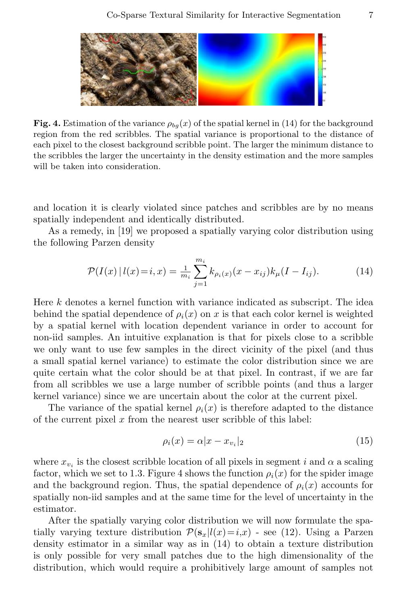

Fig. 4. Estimation of the variance  $\rho_{ba}(x)$  of the spatial kernel in (14) for the background region from the red scribbles. The spatial variance is proportional to the distance of each pixel to the closest background scribble point. The larger the minimum distance to the scribbles the larger the uncertainty in the density estimation and the more samples will be taken into consideration.

and location it is clearly violated since patches and scribbles are by no means spatially independent and identically distributed.

As a remedy, in [19] we proposed a spatially varying color distribution using the following Parzen density

$$
\mathcal{P}(I(x) | l(x) = i, x) = \frac{1}{m_i} \sum_{j=1}^{m_i} k_{\rho_i(x)}(x - x_{ij}) k_{\mu}(I - I_{ij}). \tag{14}
$$

Here k denotes a kernel function with variance indicated as subscript. The idea behind the spatial dependence of  $\rho_i(x)$  on x is that each color kernel is weighted by a spatial kernel with location dependent variance in order to account for non-iid samples. An intuitive explanation is that for pixels close to a scribble we only want to use few samples in the direct vicinity of the pixel (and thus a small spatial kernel variance) to estimate the color distribution since we are quite certain what the color should be at that pixel. In contrast, if we are far from all scribbles we use a large number of scribble points (and thus a larger kernel variance) since we are uncertain about the color at the current pixel.

The variance of the spatial kernel  $\rho_i(x)$  is therefore adapted to the distance of the current pixel  $x$  from the nearest user scribble of this label:

$$
\rho_i(x) = \alpha |x - x_{v_i}|_2 \tag{15}
$$

where  $x_{v_i}$  is the closest scribble location of all pixels in segment i and  $\alpha$  a scaling factor, which we set to 1.3. Figure 4 shows the function  $\rho_i(x)$  for the spider image and the background region. Thus, the spatial dependence of  $\rho_i(x)$  accounts for spatially non-iid samples and at the same time for the level of uncertainty in the estimator.

After the spatially varying color distribution we will now formulate the spatially varying texture distribution  $\mathcal{P}(\mathbf{s}_x|l(x)=i,x)$  - see (12). Using a Parzen density estimator in a similar way as in (14) to obtain a texture distribution is only possible for very small patches due to the high dimensionality of the distribution, which would require a prohibitively large amount of samples not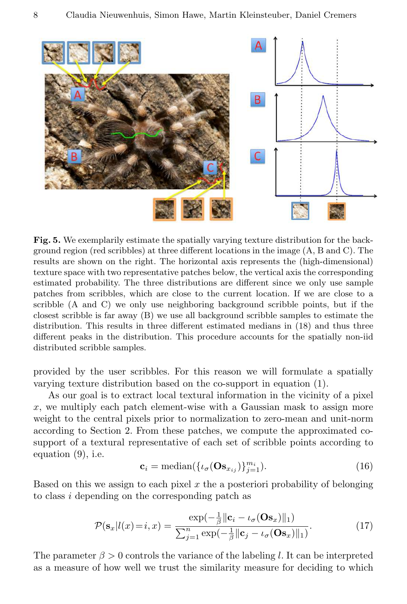

Fig. 5. We exemplarily estimate the spatially varying texture distribution for the background region (red scribbles) at three different locations in the image (A, B and C). The results are shown on the right. The horizontal axis represents the (high-dimensional) texture space with two representative patches below, the vertical axis the corresponding estimated probability. The three distributions are different since we only use sample patches from scribbles, which are close to the current location. If we are close to a scribble (A and C) we only use neighboring background scribble points, but if the closest scribble is far away (B) we use all background scribble samples to estimate the distribution. This results in three different estimated medians in (18) and thus three different peaks in the distribution. This procedure accounts for the spatially non-iid distributed scribble samples.

provided by the user scribbles. For this reason we will formulate a spatially varying texture distribution based on the co-support in equation (1).

As our goal is to extract local textural information in the vicinity of a pixel  $x$ , we multiply each patch element-wise with a Gaussian mask to assign more weight to the central pixels prior to normalization to zero-mean and unit-norm according to Section 2. From these patches, we compute the approximated cosupport of a textural representative of each set of scribble points according to equation (9), i.e.

$$
\mathbf{c}_{i} = \text{median}(\{\iota_{\sigma}(\mathbf{O}\mathbf{s}_{x_{ij}})\}_{j=1}^{m_{i}}). \tag{16}
$$

Based on this we assign to each pixel  $x$  the a posteriori probability of belonging to class i depending on the corresponding patch as

$$
\mathcal{P}(\mathbf{s}_x|l(x)=i,x) = \frac{\exp(-\frac{1}{\beta}||\mathbf{c}_i - \iota_{\sigma}(\mathbf{O}\mathbf{s}_x)||_1)}{\sum_{j=1}^n \exp(-\frac{1}{\beta}||\mathbf{c}_j - \iota_{\sigma}(\mathbf{O}\mathbf{s}_x)||_1)}.
$$
(17)

The parameter  $\beta > 0$  controls the variance of the labeling l. It can be interpreted as a measure of how well we trust the similarity measure for deciding to which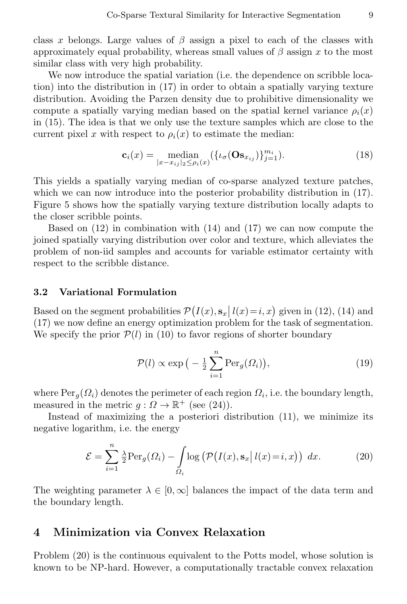class x belongs. Large values of  $\beta$  assign a pixel to each of the classes with approximately equal probability, whereas small values of  $\beta$  assign x to the most similar class with very high probability.

We now introduce the spatial variation (i.e. the dependence on scribble location) into the distribution in (17) in order to obtain a spatially varying texture distribution. Avoiding the Parzen density due to prohibitive dimensionality we compute a spatially varying median based on the spatial kernel variance  $\rho_i(x)$ in (15). The idea is that we only use the texture samples which are close to the current pixel x with respect to  $\rho_i(x)$  to estimate the median:

$$
\mathbf{c}_{i}(x) = \underset{|x - x_{ij}| \ge \beta_{i}(x)}{\text{median}} (\{ \iota_{\sigma}(\mathbf{O} \mathbf{s}_{x_{ij}}) \}_{j=1}^{m_{i}}). \tag{18}
$$

This yields a spatially varying median of co-sparse analyzed texture patches, which we can now introduce into the posterior probability distribution in  $(17)$ . Figure 5 shows how the spatially varying texture distribution locally adapts to the closer scribble points.

Based on (12) in combination with (14) and (17) we can now compute the joined spatially varying distribution over color and texture, which alleviates the problem of non-iid samples and accounts for variable estimator certainty with respect to the scribble distance.

#### 3.2 Variational Formulation

Based on the segment probabilities  $\mathcal{P}(I(x), \mathbf{s}_x | l(x) = i, x)$  given in (12), (14) and based on the segment probabilities  $P(T(x), s_x | t(x) - t, x)$  given in (12), (14) and (17) we now define an energy optimization problem for the task of segmentation. We specify the prior  $\mathcal{P}(l)$  in (10) to favor regions of shorter boundary

$$
\mathcal{P}(l) \propto \exp\left(-\frac{1}{2}\sum_{i=1}^{n} \text{Per}_g(\Omega_i)\right),\tag{19}
$$

where  $\text{Per}_g(\Omega_i)$  denotes the perimeter of each region  $\Omega_i$ , i.e. the boundary length, measured in the metric  $g: \Omega \to \mathbb{R}^+$  (see (24)).

Instead of maximizing the a posteriori distribution (11), we minimize its negative logarithm, i.e. the energy

$$
\mathcal{E} = \sum_{i=1}^{n} \frac{\lambda}{2} \text{Per}_g(\Omega_i) - \int_{\Omega_i} \log \left( \mathcal{P}\big(I(x), \mathbf{s}_x \,|\, l(x) = i, x \big) \right) \, dx. \tag{20}
$$

The weighting parameter  $\lambda \in [0,\infty]$  balances the impact of the data term and the boundary length.

### 4 Minimization via Convex Relaxation

Problem (20) is the continuous equivalent to the Potts model, whose solution is known to be NP-hard. However, a computationally tractable convex relaxation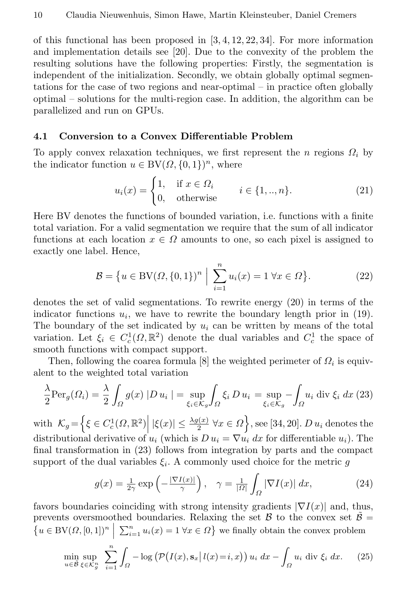of this functional has been proposed in  $[3, 4, 12, 22, 34]$ . For more information and implementation details see [20]. Due to the convexity of the problem the resulting solutions have the following properties: Firstly, the segmentation is independent of the initialization. Secondly, we obtain globally optimal segmentations for the case of two regions and near-optimal – in practice often globally optimal – solutions for the multi-region case. In addition, the algorithm can be parallelized and run on GPUs.

#### 4.1 Conversion to a Convex Differentiable Problem

To apply convex relaxation techniques, we first represent the n regions  $\Omega_i$  by the indicator function  $u \in BV(\Omega, \{0, 1\})^n$ , where

$$
u_i(x) = \begin{cases} 1, & \text{if } x \in \Omega_i \\ 0, & \text{otherwise} \end{cases} \quad i \in \{1, \dots, n\}. \tag{21}
$$

Here BV denotes the functions of bounded variation, i.e. functions with a finite total variation. For a valid segmentation we require that the sum of all indicator functions at each location  $x \in \Omega$  amounts to one, so each pixel is assigned to exactly one label. Hence,

$$
\mathcal{B} = \{ u \in BV(\Omega, \{0, 1\})^n \mid \sum_{i=1}^n u_i(x) = 1 \,\forall x \in \Omega \}.
$$
 (22)

denotes the set of valid segmentations. To rewrite energy (20) in terms of the indicator functions  $u_i$ , we have to rewrite the boundary length prior in (19). The boundary of the set indicated by  $u_i$  can be written by means of the total variation. Let  $\xi_i \in C_c^1(\Omega, \mathbb{R}^2)$  denote the dual variables and  $C_c^1$  the space of smooth functions with compact support.

Then, following the coarea formula [8] the weighted perimeter of  $\Omega_i$  is equivalent to the weighted total variation

$$
\frac{\lambda}{2}\text{Per}_g(\Omega_i) = \frac{\lambda}{2} \int_{\Omega} g(x) |D u_i| = \sup_{\xi_i \in \mathcal{K}_g} \int_{\Omega} \xi_i D u_i = \sup_{\xi_i \in \mathcal{K}_g} - \int_{\Omega} u_i \text{ div } \xi_i dx
$$
 (23)

with  $\mathcal{K}_g = \left\{ \xi \in C_c^1(\Omega, \mathbb{R}^2) \middle| |\xi(x)| \leq \frac{\lambda g(x)}{2} \,\forall x \in \Omega \right\}$ , see [34, 20]. D  $u_i$  denotes the distributional derivative of  $u_i$  (which is  $D u_i = \nabla u_i dx$  for differentiable  $u_i$ ). The final transformation in (23) follows from integration by parts and the compact support of the dual variables  $\xi_i$ . A commonly used choice for the metric g

$$
g(x) = \frac{1}{2\gamma} \exp\left(-\frac{|\nabla I(x)|}{\gamma}\right), \quad \gamma = \frac{1}{|\Omega|} \int_{\Omega} |\nabla I(x)| \, dx,\tag{24}
$$

favors boundaries coinciding with strong intensity gradients  $|\nabla I(x)|$  and, thus, prevents oversmoothed boundaries. Relaxing the set  $\mathcal{B}$  to the convex set  $\tilde{\mathcal{B}} =$  $\{u \in BV(\Omega, [0,1])^n \mid \sum_{i=1}^n u_i(x) = 1 \,\forall x \in \Omega\}$  we finally obtain the convex problem

$$
\min_{u \in \mathcal{B}} \sup_{\xi \in \mathcal{K}_g^n} \sum_{i=1}^n \int_{\Omega} -\log \left( \mathcal{P}\big(I(x), \mathbf{s}_x \,|\, l(x) = i, x \big) \right) u_i \, dx - \int_{\Omega} u_i \, \text{div } \xi_i \, dx. \tag{25}
$$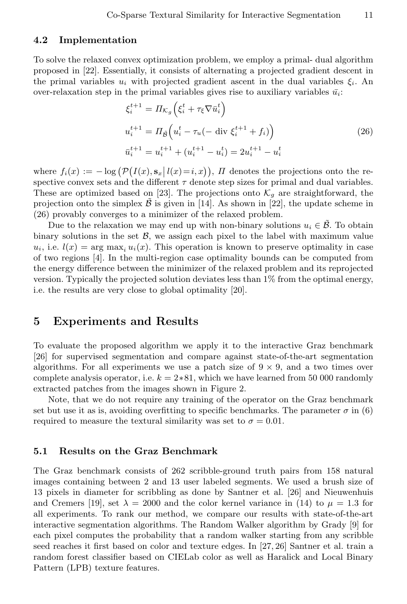#### 4.2 Implementation

To solve the relaxed convex optimization problem, we employ a primal- dual algorithm proposed in [22]. Essentially, it consists of alternating a projected gradient descent in the primal variables  $u_i$  with projected gradient ascent in the dual variables  $\xi_i$ . An over-relaxation step in the primal variables gives rise to auxiliary variables  $\bar{u}_i$ :

$$
\xi_i^{t+1} = \Pi_{\mathcal{K}_g} \left( \xi_i^t + \tau_\xi \nabla \bar{u}_i^t \right)
$$
  
\n
$$
u_i^{t+1} = \Pi_{\tilde{\mathcal{B}}} \left( u_i^t - \tau_u \left( - \text{ div } \xi_i^{t+1} + f_i \right) \right)
$$
  
\n
$$
\bar{u}_i^{t+1} = u_i^{t+1} + (u_i^{t+1} - u_i^t) = 2u_i^{t+1} - u_i^t
$$
\n(26)

where  $f_i(x) := -\log (P(I(x), \mathbf{s}_x | l(x)=i, x)), H$  denotes the projections onto the respective convex sets and the different  $\tau$  denote step sizes for primal and dual variables. These are optimized based on [23]. The projections onto  $\mathcal{K}_q$  are straightforward, the projection onto the simplex  $\beta$  is given in [14]. As shown in [22], the update scheme in (26) provably converges to a minimizer of the relaxed problem.

Due to the relaxation we may end up with non-binary solutions  $u_i \in \mathcal{B}$ . To obtain binary solutions in the set  $\mathcal{B}$ , we assign each pixel to the label with maximum value  $u_i$ , i.e.  $l(x) = \arg \max_i u_i(x)$ . This operation is known to preserve optimality in case of two regions [4]. In the multi-region case optimality bounds can be computed from the energy difference between the minimizer of the relaxed problem and its reprojected version. Typically the projected solution deviates less than 1% from the optimal energy, i.e. the results are very close to global optimality [20].

### 5 Experiments and Results

To evaluate the proposed algorithm we apply it to the interactive Graz benchmark [26] for supervised segmentation and compare against state-of-the-art segmentation algorithms. For all experiments we use a patch size of  $9 \times 9$ , and a two times over complete analysis operator, i.e.  $k = 2*81$ , which we have learned from 50 000 randomly extracted patches from the images shown in Figure 2.

Note, that we do not require any training of the operator on the Graz benchmark set but use it as is, avoiding overfitting to specific benchmarks. The parameter  $\sigma$  in (6) required to measure the textural similarity was set to  $\sigma = 0.01$ .

#### 5.1 Results on the Graz Benchmark

The Graz benchmark consists of 262 scribble-ground truth pairs from 158 natural images containing between 2 and 13 user labeled segments. We used a brush size of 13 pixels in diameter for scribbling as done by Santner et al. [26] and Nieuwenhuis and Cremers [19], set  $\lambda = 2000$  and the color kernel variance in (14) to  $\mu = 1.3$  for all experiments. To rank our method, we compare our results with state-of-the-art interactive segmentation algorithms. The Random Walker algorithm by Grady [9] for each pixel computes the probability that a random walker starting from any scribble seed reaches it first based on color and texture edges. In [27, 26] Santner et al. train a random forest classifier based on CIELab color as well as Haralick and Local Binary Pattern (LPB) texture features.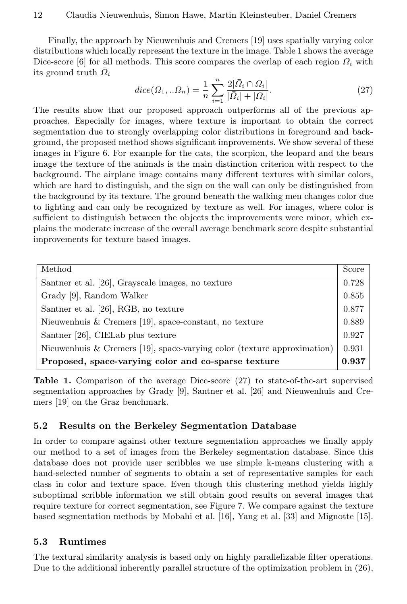Finally, the approach by Nieuwenhuis and Cremers [19] uses spatially varying color distributions which locally represent the texture in the image. Table 1 shows the average Dice-score [6] for all methods. This score compares the overlap of each region  $\Omega_i$  with its ground truth  $\overline{Q}_i$ 

$$
dice(\Omega_1, \ldots \Omega_n) = \frac{1}{n} \sum_{i=1}^n \frac{2|\bar{\Omega}_i \cap \Omega_i|}{|\bar{\Omega}_i| + |\Omega_i|}. \tag{27}
$$

The results show that our proposed approach outperforms all of the previous approaches. Especially for images, where texture is important to obtain the correct segmentation due to strongly overlapping color distributions in foreground and background, the proposed method shows significant improvements. We show several of these images in Figure 6. For example for the cats, the scorpion, the leopard and the bears image the texture of the animals is the main distinction criterion with respect to the background. The airplane image contains many different textures with similar colors, which are hard to distinguish, and the sign on the wall can only be distinguished from the background by its texture. The ground beneath the walking men changes color due to lighting and can only be recognized by texture as well. For images, where color is sufficient to distinguish between the objects the improvements were minor, which explains the moderate increase of the overall average benchmark score despite substantial improvements for texture based images.

| Method                                                                  | Score |
|-------------------------------------------------------------------------|-------|
| Santner et al. [26], Grayscale images, no texture                       | 0.728 |
| Grady [9], Random Walker                                                | 0.855 |
| Santner et al. [26], RGB, no texture                                    | 0.877 |
| Nieuwenhuis & Cremers [19], space-constant, no texture                  | 0.889 |
| Santner [26], CIELab plus texture                                       | 0.927 |
| Nieuwenhuis & Cremers [19], space-varying color (texture approximation) | 0.931 |
| Proposed, space-varying color and co-sparse texture                     | 0.937 |

Table 1. Comparison of the average Dice-score (27) to state-of-the-art supervised segmentation approaches by Grady [9], Santner et al. [26] and Nieuwenhuis and Cremers [19] on the Graz benchmark.

### 5.2 Results on the Berkeley Segmentation Database

In order to compare against other texture segmentation approaches we finally apply our method to a set of images from the Berkeley segmentation database. Since this database does not provide user scribbles we use simple k-means clustering with a hand-selected number of segments to obtain a set of representative samples for each class in color and texture space. Even though this clustering method yields highly suboptimal scribble information we still obtain good results on several images that require texture for correct segmentation, see Figure 7. We compare against the texture based segmentation methods by Mobahi et al. [16], Yang et al. [33] and Mignotte [15].

### 5.3 Runtimes

The textural similarity analysis is based only on highly parallelizable filter operations. Due to the additional inherently parallel structure of the optimization problem in (26),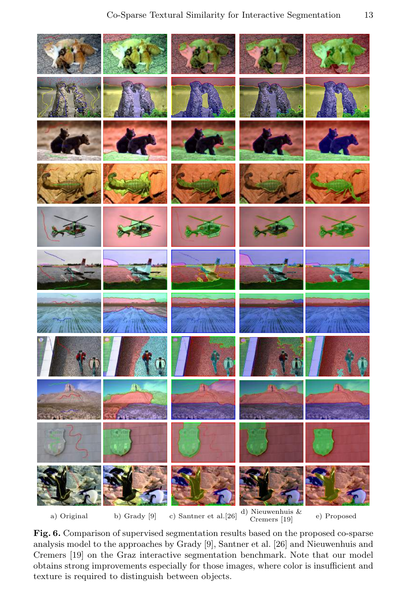

Fig. 6. Comparison of supervised segmentation results based on the proposed co-sparse analysis model to the approaches by Grady [9], Santner et al. [26] and Nieuwenhuis and Cremers [19] on the Graz interactive segmentation benchmark. Note that our model obtains strong improvements especially for those images, where color is insufficient and texture is required to distinguish between objects.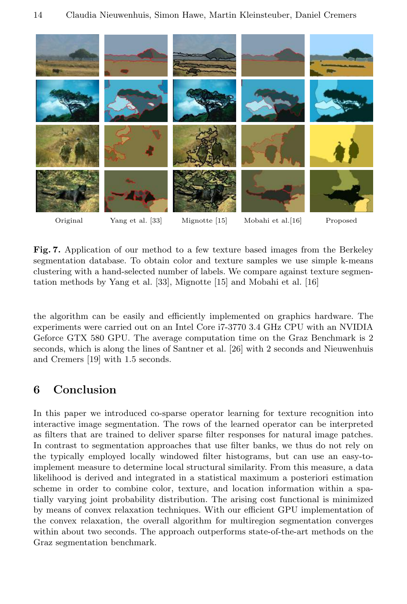

Fig. 7. Application of our method to a few texture based images from the Berkeley segmentation database. To obtain color and texture samples we use simple k-means clustering with a hand-selected number of labels. We compare against texture segmentation methods by Yang et al. [33], Mignotte [15] and Mobahi et al. [16]

the algorithm can be easily and efficiently implemented on graphics hardware. The experiments were carried out on an Intel Core i7-3770 3.4 GHz CPU with an NVIDIA Geforce GTX 580 GPU. The average computation time on the Graz Benchmark is 2 seconds, which is along the lines of Santner et al. [26] with 2 seconds and Nieuwenhuis and Cremers [19] with 1.5 seconds.

# 6 Conclusion

In this paper we introduced co-sparse operator learning for texture recognition into interactive image segmentation. The rows of the learned operator can be interpreted as filters that are trained to deliver sparse filter responses for natural image patches. In contrast to segmentation approaches that use filter banks, we thus do not rely on the typically employed locally windowed filter histograms, but can use an easy-toimplement measure to determine local structural similarity. From this measure, a data likelihood is derived and integrated in a statistical maximum a posteriori estimation scheme in order to combine color, texture, and location information within a spatially varying joint probability distribution. The arising cost functional is minimized by means of convex relaxation techniques. With our efficient GPU implementation of the convex relaxation, the overall algorithm for multiregion segmentation converges within about two seconds. The approach outperforms state-of-the-art methods on the Graz segmentation benchmark.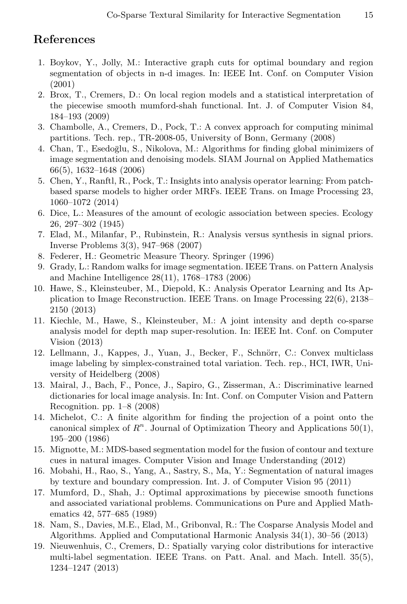### References

- 1. Boykov, Y., Jolly, M.: Interactive graph cuts for optimal boundary and region segmentation of objects in n-d images. In: IEEE Int. Conf. on Computer Vision (2001)
- 2. Brox, T., Cremers, D.: On local region models and a statistical interpretation of the piecewise smooth mumford-shah functional. Int. J. of Computer Vision 84, 184–193 (2009)
- 3. Chambolle, A., Cremers, D., Pock, T.: A convex approach for computing minimal partitions. Tech. rep., TR-2008-05, University of Bonn, Germany (2008)
- 4. Chan, T., Esedoglu, S., Nikolova, M.: Algorithms for finding global minimizers of image segmentation and denoising models. SIAM Journal on Applied Mathematics 66(5), 1632–1648 (2006)
- 5. Chen, Y., Ranftl, R., Pock, T.: Insights into analysis operator learning: From patchbased sparse models to higher order MRFs. IEEE Trans. on Image Processing 23, 1060–1072 (2014)
- 6. Dice, L.: Measures of the amount of ecologic association between species. Ecology 26, 297–302 (1945)
- 7. Elad, M., Milanfar, P., Rubinstein, R.: Analysis versus synthesis in signal priors. Inverse Problems 3(3), 947–968 (2007)
- 8. Federer, H.: Geometric Measure Theory. Springer (1996)
- 9. Grady, L.: Random walks for image segmentation. IEEE Trans. on Pattern Analysis and Machine Intelligence 28(11), 1768–1783 (2006)
- 10. Hawe, S., Kleinsteuber, M., Diepold, K.: Analysis Operator Learning and Its Application to Image Reconstruction. IEEE Trans. on Image Processing 22(6), 2138– 2150 (2013)
- 11. Kiechle, M., Hawe, S., Kleinsteuber, M.: A joint intensity and depth co-sparse analysis model for depth map super-resolution. In: IEEE Int. Conf. on Computer Vision (2013)
- 12. Lellmann, J., Kappes, J., Yuan, J., Becker, F., Schnörr, C.: Convex multiclass image labeling by simplex-constrained total variation. Tech. rep., HCI, IWR, University of Heidelberg (2008)
- 13. Mairal, J., Bach, F., Ponce, J., Sapiro, G., Zisserman, A.: Discriminative learned dictionaries for local image analysis. In: Int. Conf. on Computer Vision and Pattern Recognition. pp. 1–8 (2008)
- 14. Michelot, C.: A finite algorithm for finding the projection of a point onto the canonical simplex of  $R<sup>n</sup>$ . Journal of Optimization Theory and Applications 50(1), 195–200 (1986)
- 15. Mignotte, M.: MDS-based segmentation model for the fusion of contour and texture cues in natural images. Computer Vision and Image Understanding (2012)
- 16. Mobahi, H., Rao, S., Yang, A., Sastry, S., Ma, Y.: Segmentation of natural images by texture and boundary compression. Int. J. of Computer Vision 95 (2011)
- 17. Mumford, D., Shah, J.: Optimal approximations by piecewise smooth functions and associated variational problems. Communications on Pure and Applied Mathematics 42, 577–685 (1989)
- 18. Nam, S., Davies, M.E., Elad, M., Gribonval, R.: The Cosparse Analysis Model and Algorithms. Applied and Computational Harmonic Analysis 34(1), 30–56 (2013)
- 19. Nieuwenhuis, C., Cremers, D.: Spatially varying color distributions for interactive multi-label segmentation. IEEE Trans. on Patt. Anal. and Mach. Intell. 35(5), 1234–1247 (2013)